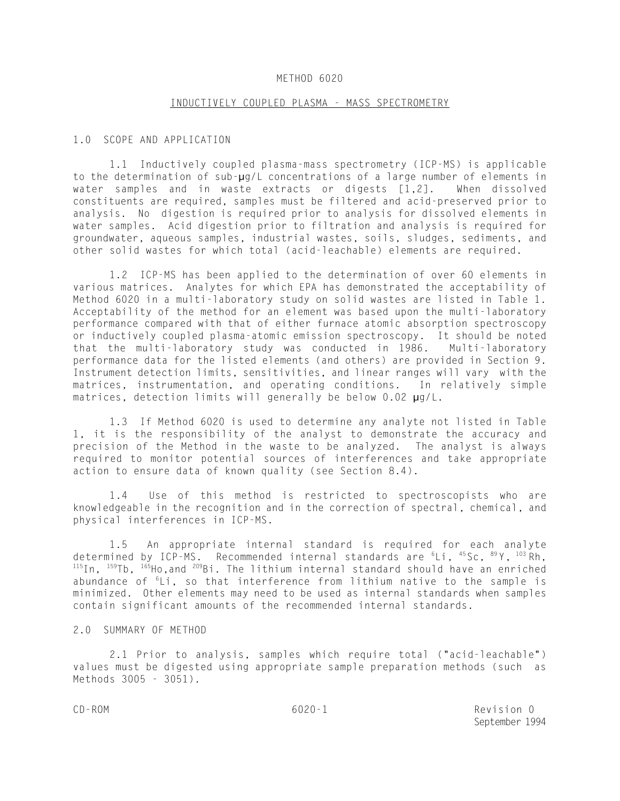## METHOD 6020

#### INDUCTIVELY COUPLED PLASMA - MASS SPECTROMETRY

#### 1.0 SCOPE AND APPLICATION

1.1 Inductively coupled plasma-mass spectrometry (ICP-MS) is applicable to the determination of sub-µg/L concentrations of a large number of elements in water samples and in waste extracts or digests [1,2]. When dissolved constituents are required, samples must be filtered and acid-preserved prior to analysis. No digestion is required prior to analysis for dissolved elements in water samples. Acid digestion prior to filtration and analysis is required for groundwater, aqueous samples, industrial wastes, soils, sludges, sediments, and other solid wastes for which total (acid-leachable) elements are required.

1.2 ICP-MS has been applied to the determination of over 60 elements in various matrices. Analytes for which EPA has demonstrated the acceptability of Method 6020 in a multi-laboratory study on solid wastes are listed in Table 1. Acceptability of the method for an element was based upon the multi-laboratory performance compared with that of either furnace atomic absorption spectroscopy or inductively coupled plasma-atomic emission spectroscopy. It should be noted that the multi-laboratory study was conducted in 1986. Multi-laboratory performance data for the listed elements (and others) are provided in Section 9. Instrument detection limits, sensitivities, and linear ranges will vary with the matrices, instrumentation, and operating conditions. In relatively simple matrices, detection limits will generally be below 0.02 µg/L.

1.3 If Method 6020 is used to determine any analyte not listed in Table 1, it is the responsibility of the analyst to demonstrate the accuracy and precision of the Method in the waste to be analyzed. The analyst is always required to monitor potential sources of interferences and take appropriate action to ensure data of known quality (see Section 8.4).

1.4 Use of this method is restricted to spectroscopists who are knowledgeable in the recognition and in the correction of spectral, chemical, and physical interferences in ICP-MS.

1.5 An appropriate internal standard is required for each analyte determined by ICP-MS. Recommended internal standards are  ${}^{6}$ Li,  ${}^{45}$ Sc,  ${}^{89}$ Y,  ${}^{103}$ Rh,  $115$ In,  $159$ Tb,  $165$ Ho, and  $209$ Bi. The lithium internal standard should have an enriched abundance of  ${}^{6}$ Li, so that interference from lithium native to the sample is minimized. Other elements may need to be used as internal standards when samples contain significant amounts of the recommended internal standards.

# 2.0 SUMMARY OF METHOD

2.1 Prior to analysis, samples which require total ("acid-leachable") values must be digested using appropriate sample preparation methods (such as Methods 3005 - 3051).

CD-ROM 6020-1 Revision 0 September 1994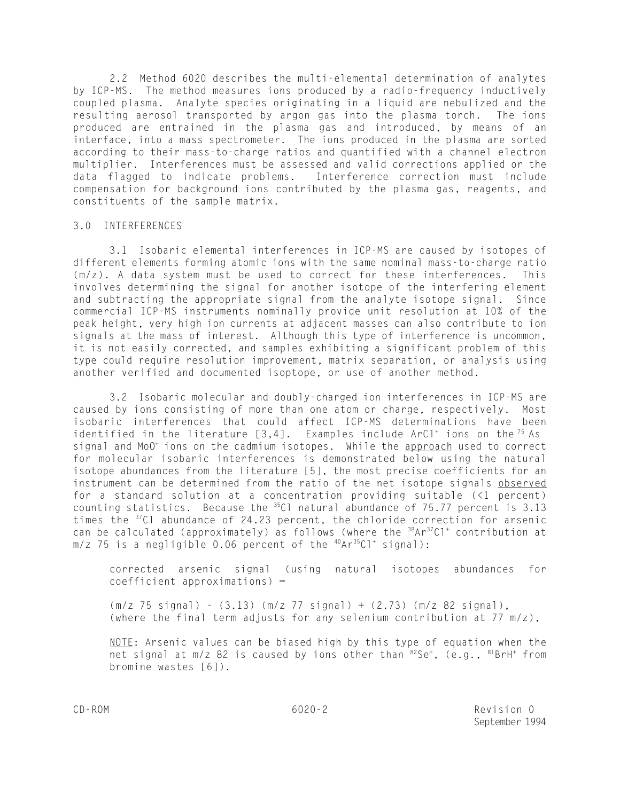2.2 Method 6020 describes the multi-elemental determination of analytes by ICP-MS. The method measures ions produced by a radio-frequency inductively coupled plasma. Analyte species originating in a liquid are nebulized and the resulting aerosol transported by argon gas into the plasma torch. The ions produced are entrained in the plasma gas and introduced, by means of an interface, into a mass spectrometer. The ions produced in the plasma are sorted according to their mass-to-charge ratios and quantified with a channel electron multiplier. Interferences must be assessed and valid corrections applied or the data flagged to indicate problems. Interference correction must include compensation for background ions contributed by the plasma gas, reagents, and constituents of the sample matrix.

# 3.0 INTERFERENCES

3.1 Isobaric elemental interferences in ICP-MS are caused by isotopes of different elements forming atomic ions with the same nominal mass-to-charge ratio (m/z). A data system must be used to correct for these interferences. This involves determining the signal for another isotope of the interfering element and subtracting the appropriate signal from the analyte isotope signal. Since commercial ICP-MS instruments nominally provide unit resolution at 10% of the peak height, very high ion currents at adjacent masses can also contribute to ion signals at the mass of interest. Although this type of interference is uncommon, it is not easily corrected, and samples exhibiting a significant problem of this type could require resolution improvement, matrix separation, or analysis using another verified and documented isoptope, or use of another method.

3.2 Isobaric molecular and doubly-charged ion interferences in ICP-MS are caused by ions consisting of more than one atom or charge, respectively. Most isobaric interferences that could affect ICP-MS determinations have been identified in the literature  $[3,4]$ . Examples include ArCl<sup>+</sup> ions on the <sup>75</sup> As signal and MoO<sup>+</sup> ions on the cadmium isotopes. While the approach used to correct for molecular isobaric interferences is demonstrated below using the natural isotope abundances from the literature [5], the most precise coefficients for an instrument can be determined from the ratio of the net isotope signals observed for a standard solution at a concentration providing suitable (<1 percent) counting statistics. Because the  $^{35}$ Cl natural abundance of 75.77 percent is 3.13 times the <sup>37</sup>Cl abundance of 24.23 percent, the chloride correction for arsenic can be calculated (approximately) as follows (where the  $38Ar^{37}Cl^{+}$  contribution at  $m/z$  75 is a negligible 0.06 percent of the  $40Ar^{35}Cl^{+}$  signal):

corrected arsenic signal (using natural isotopes abundances for coefficient approximations) =

(m/z 75 signal) - (3.13) (m/z 77 signal) + (2.73) (m/z 82 signal), (where the final term adjusts for any selenium contribution at 77 m/z),

 $NOTE$ : Arsenic values can be biased high by this type of equation when the net signal at m/z 82 is caused by ions other than  ${}^{82}Se^{+}$ , (e.g.,  ${}^{81}BrH^{+}$  from bromine wastes [6]).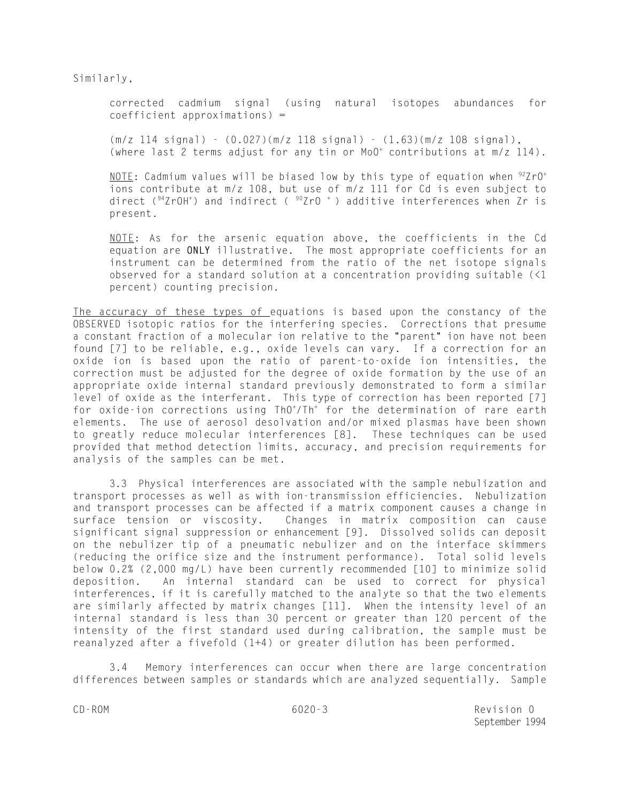Similarly,

corrected cadmium signal (using natural isotopes abundances for coefficient approximations) =

(m/z 114 signal) - (0.027)(m/z 118 signal) - (1.63)(m/z 108 signal), (where last 2 terms adjust for any tin or  $Mo0^+$  contributions at  $m/z$  114).

<u>NOTE</u>: Cadmium values will be biased low by this type of equation when  $922^{\circ}P O^+$ ions contribute at m/z 108, but use of m/z 111 for Cd is even subject to direct ( $94$ ZrOH<sup>+</sup>) and indirect ( $90$ ZrO<sup>+</sup>) additive interferences when Zr is present.

NOTE: As for the arsenic equation above, the coefficients in the Cd equation are **ONLY** illustrative. The most appropriate coefficients for an instrument can be determined from the ratio of the net isotope signals observed for a standard solution at a concentration providing suitable (<1 percent) counting precision.

The accuracy of these types of equations is based upon the constancy of the OBSERVED isotopic ratios for the interfering species. Corrections that presume a constant fraction of a molecular ion relative to the "parent" ion have not been found [7] to be reliable, e.g., oxide levels can vary. If a correction for an oxide ion is based upon the ratio of parent-to-oxide ion intensities, the correction must be adjusted for the degree of oxide formation by the use of an appropriate oxide internal standard previously demonstrated to form a similar level of oxide as the interferant. This type of correction has been reported [7] for oxide-ion corrections using ThO<sup>+</sup>/Th<sup>+</sup> for the determination of rare earth elements. The use of aerosol desolvation and/or mixed plasmas have been shown to greatly reduce molecular interferences [8]. These techniques can be used provided that method detection limits, accuracy, and precision requirements for analysis of the samples can be met.

3.3 Physical interferences are associated with the sample nebulization and transport processes as well as with ion-transmission efficiencies. Nebulization and transport processes can be affected if a matrix component causes a change in surface tension or viscosity. Changes in matrix composition can cause significant signal suppression or enhancement [9]. Dissolved solids can deposit on the nebulizer tip of a pneumatic nebulizer and on the interface skimmers (reducing the orifice size and the instrument performance). Total solid levels below 0.2% (2,000 mg/L) have been currently recommended [10] to minimize solid deposition. An internal standard can be used to correct for physical interferences, if it is carefully matched to the analyte so that the two elements are similarly affected by matrix changes [11]. When the intensity level of an internal standard is less than 30 percent or greater than 120 percent of the intensity of the first standard used during calibration, the sample must be reanalyzed after a fivefold (1+4) or greater dilution has been performed.

3.4 Memory interferences can occur when there are large concentration differences between samples or standards which are analyzed sequentially. Sample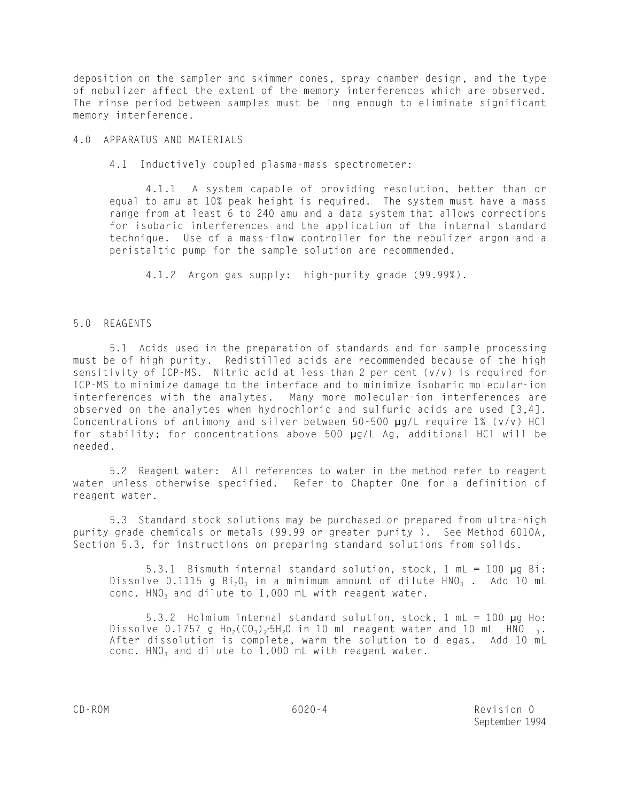deposition on the sampler and skimmer cones, spray chamber design, and the type of nebulizer affect the extent of the memory interferences which are observed. The rinse period between samples must be long enough to eliminate significant memory interference.

4.0 APPARATUS AND MATERIALS

4.1 Inductively coupled plasma-mass spectrometer:

4.1.1 A system capable of providing resolution, better than or equal to amu at 10% peak height is required. The system must have a mass range from at least 6 to 240 amu and a data system that allows corrections for isobaric interferences and the application of the internal standard technique. Use of a mass-flow controller for the nebulizer argon and a peristaltic pump for the sample solution are recommended.

4.1.2 Argon gas supply: high-purity grade (99.99%).

# 5.0 REAGENTS

5.1 Acids used in the preparation of standards and for sample processing must be of high purity. Redistilled acids are recommended because of the high sensitivity of ICP-MS. Nitric acid at less than 2 per cent (v/v) is required for ICP-MS to minimize damage to the interface and to minimize isobaric molecular-ion interferences with the analytes. Many more molecular-ion interferences are observed on the analytes when hydrochloric and sulfuric acids are used [3,4]. Concentrations of antimony and silver between 50-500 µg/L require 1% (v/v) HCl for stability; for concentrations above 500 µg/L Ag, additional HCl will be needed.

5.2 Reagent water: All references to water in the method refer to reagent water unless otherwise specified. Refer to Chapter One for a definition of reagent water.

5.3 Standard stock solutions may be purchased or prepared from ultra-high purity grade chemicals or metals (99.99 or greater purity ). See Method 6010A, Section 5.3, for instructions on preparing standard solutions from solids.

5.3.1 Bismuth internal standard solution, stock, 1 mL = 100 µg Bi: Dissolve 0.1115 g Bi<sub>2</sub>O<sub>3</sub> in a minimum amount of dilute HNO<sub>3</sub>. Add 10 mL conc.  $HNO<sub>3</sub>$  and dilute to 1,000 mL with reagent water.

5.3.2 Holmium internal standard solution, stock, 1 mL = 100 µg Ho: Dissolve 0.1757 g Ho<sub>2</sub>(CO<sub>3</sub>)<sub>2</sub>.5H<sub>2</sub>O in 10 mL reagent water and 10 mL HNO  $_3$ . After dissolution is complete, warm the solution to d egas. Add 10 mL conc. HNO<sub>3</sub> and dilute to 1,000 mL with reagent water.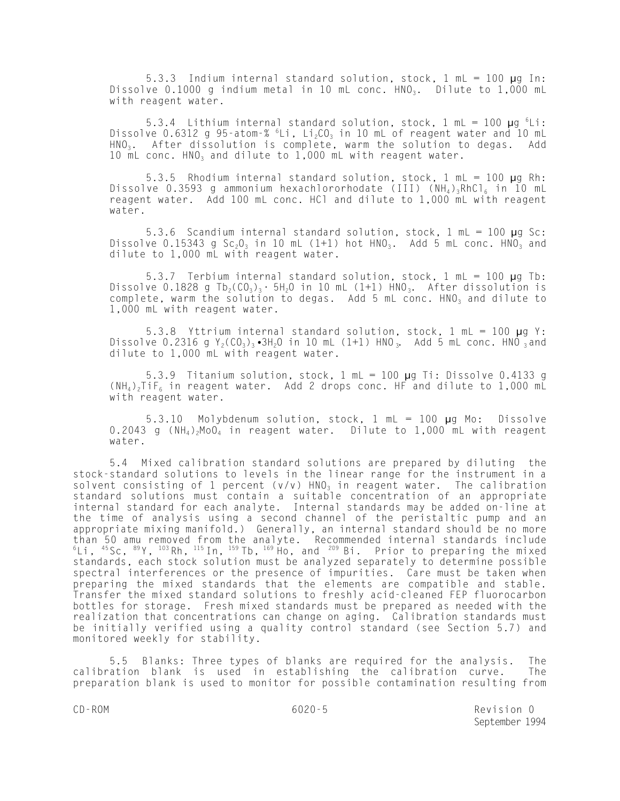5.3.3 Indium internal standard solution, stock, 1 mL = 100 µg In: Dissolve 0.1000 g indium metal in 10 mL conc.  $HNO<sub>3</sub>$ . Dilute to 1,000 mL with reagent water.

5.3.4 Lithium internal standard solution, stock,  $1 \text{ mL} = 100 \text{ µg}$   $6 \text{Li}$ : Dissolve 0.6312 g 95-atom-%  ${}^{6}$ Li, Li<sub>2</sub>CO<sub>3</sub> in 10 mL of reagent water and 10 mL  $HNO<sub>3</sub>$ . After dissolution is complete, warm the solution to degas. Add 10  $\text{mL}$  conc. HNO<sub>3</sub> and dilute to 1,000 mL with reagent water.

5.3.5 Rhodium internal standard solution, stock, 1 mL = 100 µg Rh: Dissolve 0.3593 g ammonium hexachlororhodate (III)  $(NH_4)$ <sub>3</sub>RhCl<sub>6</sub> in 10 mL reagent water. Add 100 mL conc. HCl and dilute to 1,000 mL with reagent water.

5.3.6 Scandium internal standard solution, stock, 1 mL = 100 µg Sc: Dissolve 0.15343 g Sc<sub>2</sub>O<sub>3</sub> in 10 mL (1+1) hot HNO<sub>3</sub>. Add 5 mL conc. HNO<sub>3</sub> and dilute to 1,000 mL with reagent water.

5.3.7 Terbium internal standard solution, stock, 1 mL = 100 µg Tb: Dissolve 0.1828 g Tb<sub>2</sub>(CO<sub>3</sub>)<sub>3</sub> · 5H<sub>2</sub>O in 10 mL (1+1) HNO<sub>3</sub>. After dissolution is complete, warm the solution to degas. Add 5 mL conc.  $HNO<sub>3</sub>$  and dilute to 1,000 mL with reagent water.

5.3.8 Yttrium internal standard solution, stock,  $1 \text{ mL} = 100 \text{ µg}$  Y: Dissolve 0.2316 g  $Y_2(CO_3)_3$  3H<sub>2</sub>O in 10 mL (1+1) HNO<sub>3</sub>. Add 5 mL conc. HNO 3 and dilute to 1,000 mL with reagent water.

5.3.9 Titanium solution, stock, 1 mL = 100 µg Ti: Dissolve 0.4133 g  $(NH_4)$ <sub>2</sub>TiF<sub>6</sub> in reagent water. Add 2 drops conc. HF and dilute to 1,000 mL with reagent water.

5.3.10 Molybdenum solution, stock, 1 mL = 100 µg Mo: Dissolve  $0.2043$  g (NH<sub>4</sub>)<sub>2</sub>MoO<sub>4</sub> in reagent water. Dilute to 1,000 mL with reagent water.

5.4 Mixed calibration standard solutions are prepared by diluting the stock-standard solutions to levels in the linear range for the instrument in a solvent consisting of 1 percent (v/v)  $HNO<sub>3</sub>$  in reagent water. The calibration standard solutions must contain a suitable concentration of an appropriate internal standard for each analyte. Internal standards may be added on-line at the time of analysis using a second channel of the peristaltic pump and an appropriate mixing manifold.) Generally, an internal standard should be no more than 50 amu removed from the analyte. Recommended internal standards include  $^6$ Li,  $^{45}$ Sc,  $^{89}$ Y,  $^{103}$ Rh,  $^{115}$ In,  $^{159}$ Tb,  $^{169}$ Ho, and  $^{209}$  Bi. Prior to preparing the mixed standards, each stock solution must be analyzed separately to determine possible spectral interferences or the presence of impurities. Care must be taken when preparing the mixed standards that the elements are compatible and stable. Transfer the mixed standard solutions to freshly acid-cleaned FEP fluorocarbon bottles for storage. Fresh mixed standards must be prepared as needed with the realization that concentrations can change on aging. Calibration standards must be initially verified using a quality control standard (see Section 5.7) and monitored weekly for stability.

5.5 Blanks: Three types of blanks are required for the analysis. The calibration blank is used in establishing the calibration curve. The preparation blank is used to monitor for possible contamination resulting from

CD-ROM 6020-5 Revision 0 September 1994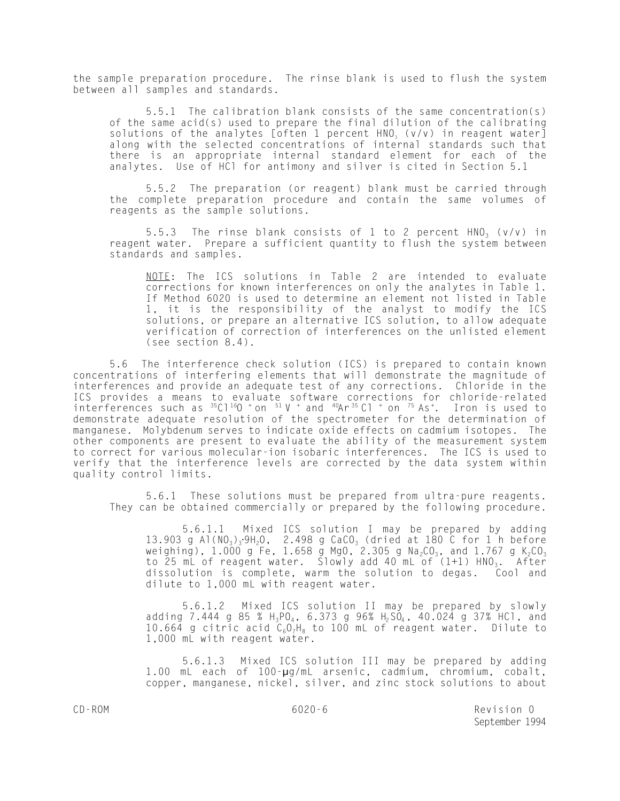the sample preparation procedure. The rinse blank is used to flush the system between all samples and standards.

5.5.1 The calibration blank consists of the same concentration(s) of the same acid(s) used to prepare the final dilution of the calibrating solutions of the analytes [often 1 percent  $HNO<sub>3</sub>$  (v/v) in reagent water] along with the selected concentrations of internal standards such that there is an appropriate internal standard element for each of the analytes. Use of HCl for antimony and silver is cited in Section 5.1

5.5.2 The preparation (or reagent) blank must be carried through the complete preparation procedure and contain the same volumes of reagents as the sample solutions.

5.5.3 The rinse blank consists of 1 to 2 percent  $HNO<sub>3</sub>$  (v/v) in reagent water. Prepare a sufficient quantity to flush the system between standards and samples.

NOTE: The ICS solutions in Table 2 are intended to evaluate corrections for known interferences on only the analytes in Table 1. If Method 6020 is used to determine an element not listed in Table 1, it is the responsibility of the analyst to modify the ICS solutions, or prepare an alternative ICS solution, to allow adequate verification of correction of interferences on the unlisted element (see section 8.4).

5.6 The interference check solution (ICS) is prepared to contain known concentrations of interfering elements that will demonstrate the magnitude of interferences and provide an adequate test of any corrections. Chloride in the ICS provides a means to evaluate software corrections for chloride-related interferences such as  $35C1160$  + on  $51V$  + and  $40Ar35Cl$  + on  $75 As<sup>+</sup>$ . Iron is used to demonstrate adequate resolution of the spectrometer for the determination of manganese. Molybdenum serves to indicate oxide effects on cadmium isotopes. The other components are present to evaluate the ability of the measurement system to correct for various molecular-ion isobaric interferences. The ICS is used to verify that the interference levels are corrected by the data system within quality control limits.

5.6.1 These solutions must be prepared from ultra-pure reagents. They can be obtained commercially or prepared by the following procedure.

5.6.1.1 Mixed ICS solution I may be prepared by adding 13.903 g Al(NO<sub>3</sub>)<sub>3</sub>.9H<sub>2</sub>O, 2.498 g CaCO<sub>3</sub> (dried at 180 C for 1 h before weighing),  $1.000$  g Fe,  $1.658$  g MgO,  $2.305$  g Na $_2$ CO $_3$ , and  $1.767$  g K $_2$ CO $_3$ to  $25$  mL of reagent water. Slowly add  $40$  mL of  $(1+1)$  HNO<sub>3</sub>. After dissolution is complete, warm the solution to degas. Cool and dilute to 1,000 mL with reagent water.

5.6.1.2 Mixed ICS solution II may be prepared by slowly adding 7.444 g 85 % H<sub>3</sub>PO<sub>4</sub>, 6.373 g 96% H<sub>2</sub>SO<sub>4</sub>, 40.024 g 37% HCl, and 10.664 g citric acid  $C_6O_7H_8$  to 100 mL of reagent water. Dilute to 1,000 mL with reagent water.

5.6.1.3 Mixed ICS solution III may be prepared by adding 1.00 mL each of 100-µg/mL arsenic, cadmium, chromium, cobalt, copper, manganese, nickel, silver, and zinc stock solutions to about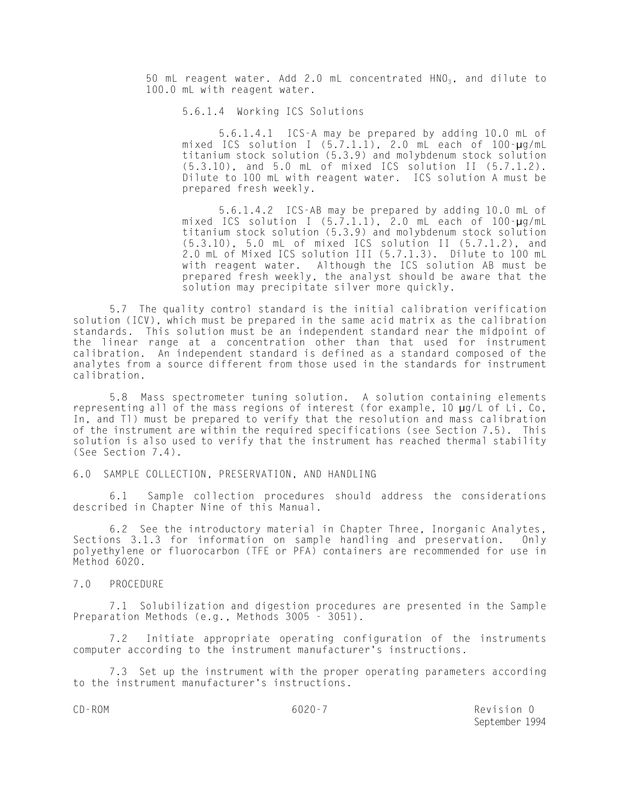50 mL reagent water. Add 2.0 mL concentrated  $HNO<sub>3</sub>$ , and dilute to 100.0 mL with reagent water.

5.6.1.4 Working ICS Solutions

5.6.1.4.1 ICS-A may be prepared by adding 10.0 mL of mixed ICS solution I (5.7.1.1), 2.0 mL each of 100-µg/mL titanium stock solution (5.3.9) and molybdenum stock solution (5.3.10), and 5.0 mL of mixed ICS solution II (5.7.1.2). Dilute to 100 mL with reagent water. ICS solution A must be prepared fresh weekly.

5.6.1.4.2 ICS-AB may be prepared by adding 10.0 mL of mixed ICS solution I (5.7.1.1), 2.0 mL each of 100-µg/mL titanium stock solution (5.3.9) and molybdenum stock solution (5.3.10), 5.0 mL of mixed ICS solution II (5.7.1.2), and 2.0 mL of Mixed ICS solution III (5.7.1.3). Dilute to 100 mL with reagent water. Although the ICS solution AB must be prepared fresh weekly, the analyst should be aware that the solution may precipitate silver more quickly.

5.7 The quality control standard is the initial calibration verification solution (ICV), which must be prepared in the same acid matrix as the calibration standards. This solution must be an independent standard near the midpoint of the linear range at a concentration other than that used for instrument calibration. An independent standard is defined as a standard composed of the analytes from a source different from those used in the standards for instrument calibration.

5.8 Mass spectrometer tuning solution. A solution containing elements representing all of the mass regions of interest (for example, 10 µg/L of Li, Co, In, and Tl) must be prepared to verify that the resolution and mass calibration of the instrument are within the required specifications (see Section 7.5). This solution is also used to verify that the instrument has reached thermal stability (See Section 7.4).

6.0 SAMPLE COLLECTION, PRESERVATION, AND HANDLING

6.1 Sample collection procedures should address the considerations described in Chapter Nine of this Manual.

6.2 See the introductory material in Chapter Three, Inorganic Analytes, Sections 3.1.3 for information on sample handling and preservation. Only polyethylene or fluorocarbon (TFE or PFA) containers are recommended for use in Method 6020.

7.0 PROCEDURE

7.1 Solubilization and digestion procedures are presented in the Sample Preparation Methods (e.g., Methods 3005 - 3051).

7.2 Initiate appropriate operating configuration of the instruments computer according to the instrument manufacturer's instructions.

7.3 Set up the instrument with the proper operating parameters according to the instrument manufacturer's instructions.

CD-ROM 6020-7 Revision 0 September 1994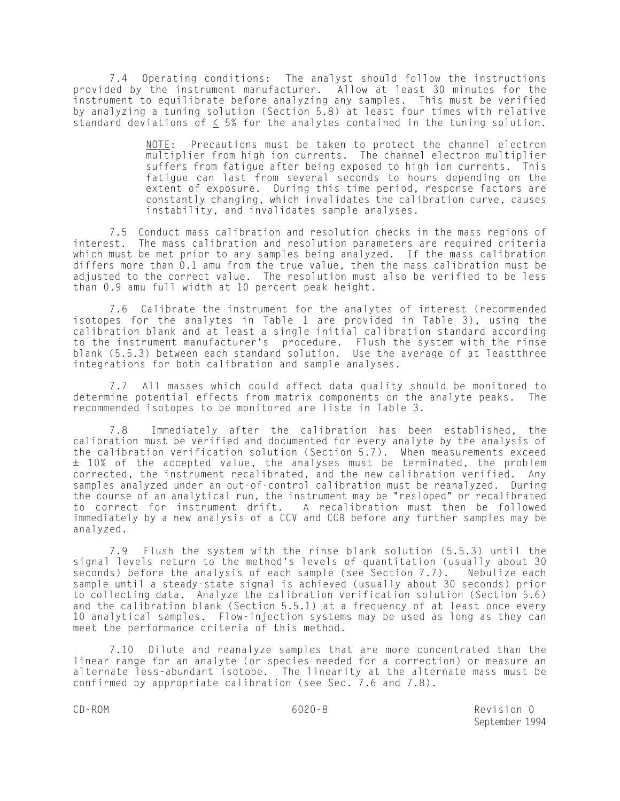7.4 Operating conditions: The analyst should follow the instructions provided by the instrument manufacturer. Allow at least 30 minutes for the instrument to equilibrate before analyzing any samples. This must be verified by analyzing a tuning solution (Section 5.8) at least four times with relative standard deviations of  $\leq$  5% for the analytes contained in the tuning solution.

> NOTE: Precautions must be taken to protect the channel electron multiplier from high ion currents. The channel electron multiplier suffers from fatigue after being exposed to high ion currents. This fatigue can last from several seconds to hours depending on the extent of exposure. During this time period, response factors are constantly changing, which invalidates the calibration curve, causes instability, and invalidates sample analyses.

7.5 Conduct mass calibration and resolution checks in the mass regions of interest. The mass calibration and resolution parameters are required criteria which must be met prior to any samples being analyzed. If the mass calibration differs more than 0.1 amu from the true value, then the mass calibration must be adjusted to the correct value. The resolution must also be verified to be less than 0.9 amu full width at 10 percent peak height.

7.6 Calibrate the instrument for the analytes of interest (recommended isotopes for the analytes in Table 1 are provided in Table 3), using the calibration blank and at least a single initial calibration standard according to the instrument manufacturer's procedure. Flush the system with the rinse blank (5.5.3) between each standard solution. Use the average of at leastthree integrations for both calibration and sample analyses.

7.7 All masses which could affect data quality should be monitored to determine potential effects from matrix components on the analyte peaks. The recommended isotopes to be monitored are liste in Table 3.

7.8 Immediately after the calibration has been established, the calibration must be verified and documented for every analyte by the analysis of the calibration verification solution (Section 5.7). When measurements exceed ± 10% of the accepted value, the analyses must be terminated, the problem corrected, the instrument recalibrated, and the new calibration verified. Any samples analyzed under an out-of-control calibration must be reanalyzed. During the course of an analytical run, the instrument may be "resloped" or recalibrated to correct for instrument drift. A recalibration must then be followed immediately by a new analysis of a CCV and CCB before any further samples may be analyzed.

7.9 Flush the system with the rinse blank solution (5.5.3) until the signal levels return to the method's levels of quantitation (usually about 30 seconds) before the analysis of each sample (see Section 7.7). Nebulize each seconds) before the analysis of each sample (see Section 7.7). sample until a steady-state signal is achieved (usually about 30 seconds) prior to collecting data. Analyze the calibration verification solution (Section 5.6) and the calibration blank (Section 5.5.1) at a frequency of at least once every 10 analytical samples. Flow-injection systems may be used as long as they can meet the performance criteria of this method.

7.10 Dilute and reanalyze samples that are more concentrated than the linear range for an analyte (or species needed for a correction) or measure an alternate less-abundant isotope. The linearity at the alternate mass must be confirmed by appropriate calibration (see Sec. 7.6 and 7.8).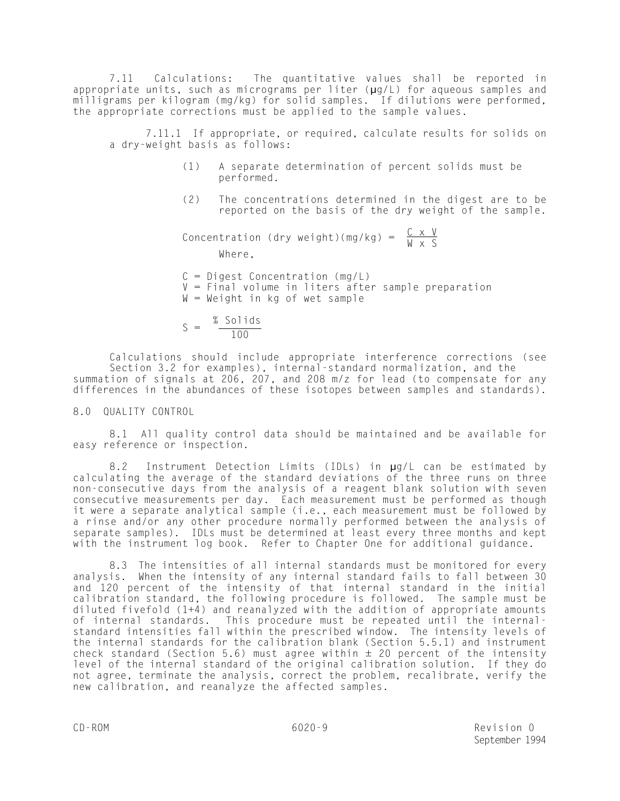7.11 Calculations: The quantitative values shall be reported in appropriate units, such as micrograms per liter ( $\mu$ g/L) for aqueous samples and milligrams per kilogram (mg/kg) for solid samples. If dilutions were performed, the appropriate corrections must be applied to the sample values.

7.11.1 If appropriate, or required, calculate results for solids on a dry-weight basis as follows:

- (1) A separate determination of percent solids must be performed.
- (2) The concentrations determined in the digest are to be reported on the basis of the dry weight of the sample.

Concentration (dry weight)(mg/kg) =  $\frac{C x V}{W x S}$ 

Where,

- $C = Diqest Concentration (mq/L)$ V = Final volume in liters after sample preparation W = Weight in kg of wet sample
- $S = \frac{\% \text{ Solids}}{100}$ 100

Calculations should include appropriate interference corrections (see Section 3.2 for examples), internal-standard normalization, and the summation of signals at 206, 207, and 208 m/z for lead (to compensate for any differences in the abundances of these isotopes between samples and standards).

8.0 QUALITY CONTROL

8.1 All quality control data should be maintained and be available for easy reference or inspection.

8.2 Instrument Detection Limits (IDLs) in µg/L can be estimated by calculating the average of the standard deviations of the three runs on three non-consecutive days from the analysis of a reagent blank solution with seven consecutive measurements per day. Each measurement must be performed as though it were a separate analytical sample (i.e., each measurement must be followed by a rinse and/or any other procedure normally performed between the analysis of separate samples). IDLs must be determined at least every three months and kept with the instrument log book. Refer to Chapter One for additional guidance.

8.3 The intensities of all internal standards must be monitored for every analysis. When the intensity of any internal standard fails to fall between 30 and 120 percent of the intensity of that internal standard in the initial calibration standard, the following procedure is followed. The sample must be diluted fivefold (1+4) and reanalyzed with the addition of appropriate amounts of internal standards. This procedure must be repeated until the internalstandard intensities fall within the prescribed window. The intensity levels of the internal standards for the calibration blank (Section 5.5.1) and instrument check standard (Section 5.6) must agree within  $\pm$  20 percent of the intensity level of the internal standard of the original calibration solution. If they do not agree, terminate the analysis, correct the problem, recalibrate, verify the new calibration, and reanalyze the affected samples.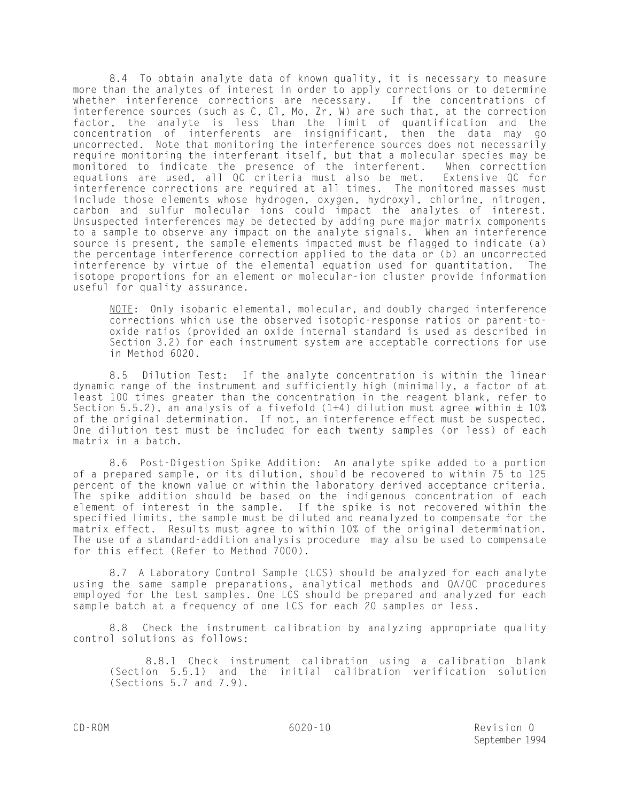8.4 To obtain analyte data of known quality, it is necessary to measure more than the analytes of interest in order to apply corrections or to determine whether interference corrections are necessary. If the concentrations of interference sources (such as C, Cl, Mo, Zr, W) are such that, at the correction factor, the analyte is less than the limit of quantification and the concentration of interferents are insignificant, then the data may go uncorrected. Note that monitoring the interference sources does not necessarily require monitoring the interferant itself, but that a molecular species may be monitored to indicate the presence of the interferent. When correcttion equations are used, all QC criteria must also be met. Extensive QC for interference corrections are required at all times. The monitored masses must include those elements whose hydrogen, oxygen, hydroxyl, chlorine, nitrogen, carbon and sulfur molecular ions could impact the analytes of interest. Unsuspected interferences may be detected by adding pure major matrix components to a sample to observe any impact on the analyte signals. When an interference source is present, the sample elements impacted must be flagged to indicate (a) the percentage interference correction applied to the data or (b) an uncorrected interference by virtue of the elemental equation used for quantitation. The isotope proportions for an element or molecular-ion cluster provide information useful for quality assurance.

 $NOTE:$  Only isobaric elemental, molecular, and doubly charged interference corrections which use the observed isotopic-response ratios or parent-tooxide ratios (provided an oxide internal standard is used as described in Section 3.2) for each instrument system are acceptable corrections for use in Method 6020.

8.5 Dilution Test: If the analyte concentration is within the linear dynamic range of the instrument and sufficiently high (minimally, a factor of at least 100 times greater than the concentration in the reagent blank, refer to Section 5.5.2), an analysis of a fivefold  $(1+4)$  dilution must agree within  $\pm$  10% of the original determination. If not, an interference effect must be suspected. One dilution test must be included for each twenty samples (or less) of each matrix in a batch.

8.6 Post-Digestion Spike Addition: An analyte spike added to a portion of a prepared sample, or its dilution, should be recovered to within 75 to 125 percent of the known value or within the laboratory derived acceptance criteria. The spike addition should be based on the indigenous concentration of each element of interest in the sample. If the spike is not recovered within the specified limits, the sample must be diluted and reanalyzed to compensate for the matrix effect. Results must agree to within 10% of the original determination. The use of a standard-addition analysis procedure may also be used to compensate for this effect (Refer to Method 7000).

8.7 A Laboratory Control Sample (LCS) should be analyzed for each analyte using the same sample preparations, analytical methods and QA/QC procedures employed for the test samples. One LCS should be prepared and analyzed for each sample batch at a frequency of one LCS for each 20 samples or less.

8.8 Check the instrument calibration by analyzing appropriate quality control solutions as follows:

8.8.1 Check instrument calibration using a calibration blank (Section 5.5.1) and the initial calibration verification solution (Sections 5.7 and 7.9).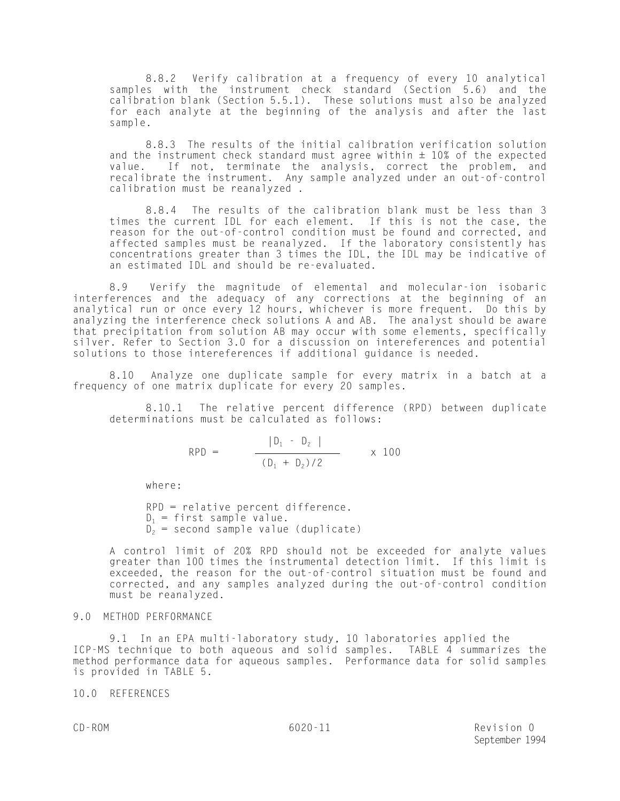8.8.2 Verify calibration at a frequency of every 10 analytical samples with the instrument check standard (Section 5.6) and the calibration blank (Section 5.5.1). These solutions must also be analyzed for each analyte at the beginning of the analysis and after the last sample.

8.8.3 The results of the initial calibration verification solution and the instrument check standard must agree within  $\pm$  10% of the expected value. If not, terminate the analysis, correct the problem, and recalibrate the instrument. Any sample analyzed under an out-of-control calibration must be reanalyzed .

8.8.4 The results of the calibration blank must be less than 3 times the current IDL for each element. If this is not the case, the reason for the out-of-control condition must be found and corrected, and affected samples must be reanalyzed. If the laboratory consistently has concentrations greater than 3 times the IDL, the IDL may be indicative of an estimated IDL and should be re-evaluated.

8.9 Verify the magnitude of elemental and molecular-ion isobaric interferences and the adequacy of any corrections at the beginning of an analytical run or once every 12 hours, whichever is more frequent. Do this by analyzing the interference check solutions A and AB. The analyst should be aware that precipitation from solution AB may occur with some elements, specifically silver. Refer to Section 3.0 for a discussion on intereferences and potential solutions to those intereferences if additional guidance is needed.

8.10 Analyze one duplicate sample for every matrix in a batch at a frequency of one matrix duplicate for every 20 samples.

8.10.1 The relative percent difference (RPD) between duplicate determinations must be calculated as follows:

$$
RPD = \frac{|D_1 - D_2|}{(D_1 + D_2)/2} \times 100
$$

where:

RPD = relative percent difference.  $D_1$  = first sample value.  $D_2$  = second sample value (duplicate)

A control limit of 20% RPD should not be exceeded for analyte values greater than 100 times the instrumental detection limit. If this limit is exceeded, the reason for the out-of-control situation must be found and corrected, and any samples analyzed during the out-of-control condition must be reanalyzed.

# 9.0 METHOD PERFORMANCE

9.1 In an EPA multi-laboratory study, 10 laboratories applied the ICP-MS technique to both aqueous and solid samples. TABLE  $\dot{4}$  summarizes the method performance data for aqueous samples. Performance data for solid samples is provided in TABLE 5.

10.0 REFERENCES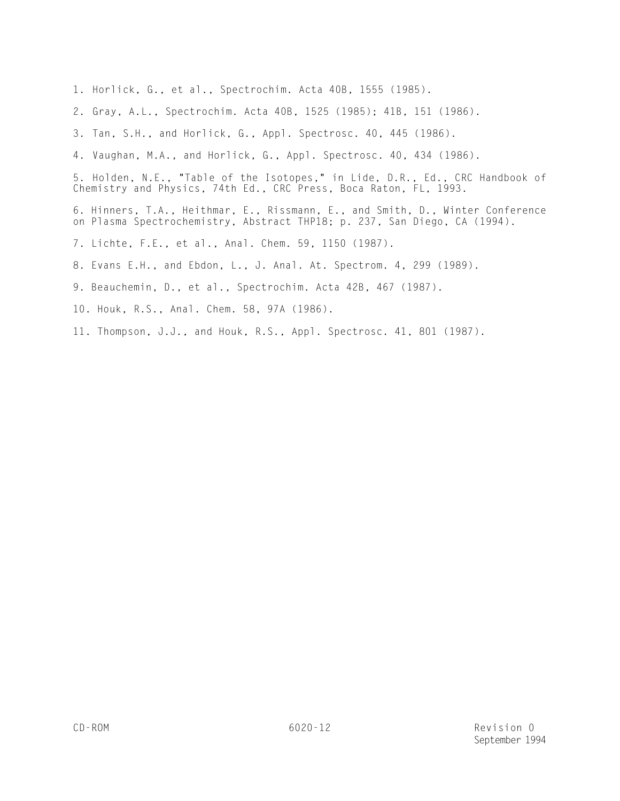- 1. Horlick, G., et al., Spectrochim. Acta 40B, 1555 (1985).
- 2. Gray, A.L., Spectrochim. Acta 40B, 1525 (1985); 41B, 151 (1986).
- 3. Tan, S.H., and Horlick, G., Appl. Spectrosc. 40, 445 (1986).
- 4. Vaughan, M.A., and Horlick, G., Appl. Spectrosc. 40, 434 (1986).

5. Holden, N.E., "Table of the Isotopes," in Lide, D.R., Ed., CRC Handbook of Chemistry and Physics, 74th Ed., CRC Press, Boca Raton, FL, 1993.

6. Hinners, T.A., Heithmar, E., Rissmann, E., and Smith, D., Winter Conference on Plasma Spectrochemistry, Abstract THP18; p. 237, San Diego, CA (1994).

- 7. Lichte, F.E., et al., Anal. Chem. 59, 1150 (1987).
- 8. Evans E.H., and Ebdon, L., J. Anal. At. Spectrom. 4, 299 (1989).
- 9. Beauchemin, D., et al., Spectrochim. Acta 42B, 467 (1987).
- 10. Houk, R.S., Anal. Chem. 58, 97A (1986).
- 11. Thompson, J.J., and Houk, R.S., Appl. Spectrosc. 41, 801 (1987).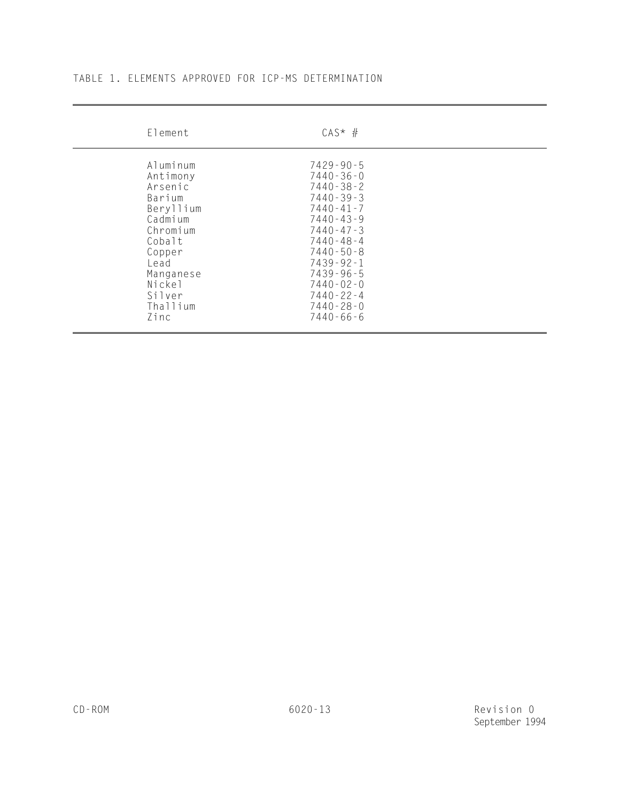|  |  | TABLE 1. ELEMENTS APPROVED FOR ICP-MS DETERMINATION |
|--|--|-----------------------------------------------------|
|  |  |                                                     |

| Element                                                                                                                                                        | $CAS^*$ #                                                                                                                                                                                                                                                                                 |
|----------------------------------------------------------------------------------------------------------------------------------------------------------------|-------------------------------------------------------------------------------------------------------------------------------------------------------------------------------------------------------------------------------------------------------------------------------------------|
| Aluminum<br>Antimony<br>Arsenic<br>Barium<br>Beryllium<br>Cadmium<br>Chromium<br>Cobalt<br>Copper<br>Lead<br>Manganese<br>Nickel<br>Silver<br>Thallium<br>Zinc | $7429 - 90 - 5$<br>$7440 - 36 - 0$<br>$7440 - 38 - 2$<br>$7440 - 39 - 3$<br>$7440 - 41 - 7$<br>$7440 - 43 - 9$<br>$7440 - 47 - 3$<br>$7440 - 48 - 4$<br>$7440 - 50 - 8$<br>$7439 - 92 - 1$<br>$7439 - 96 - 5$<br>$7440 - 02 - 0$<br>$7440 - 22 - 4$<br>$7440 - 28 - 0$<br>$7440 - 66 - 6$ |

 $\overline{a}$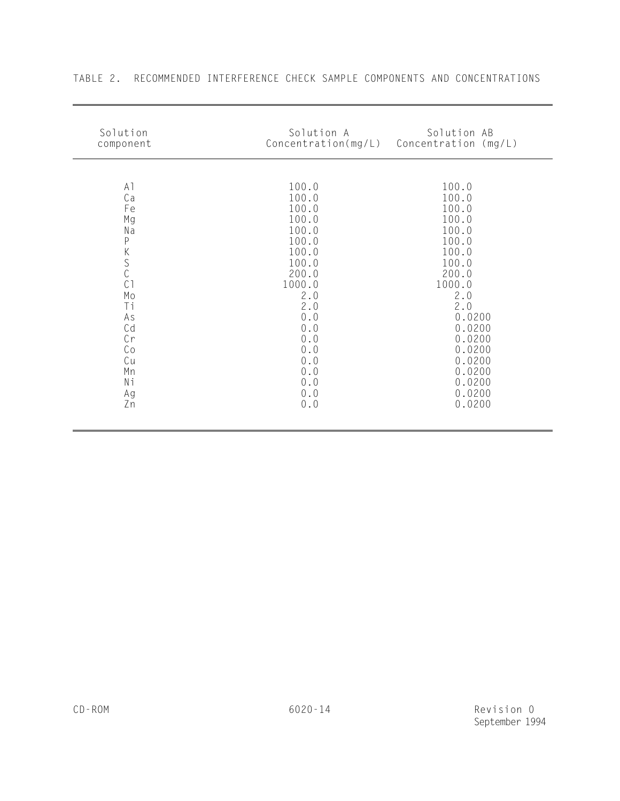| A1<br>100.0<br>100.0<br>Ca<br>100.0<br>100.0<br>100.0<br>100.0<br>Fe<br>100.0<br>100.0<br>Мg<br>100.0<br>100.0<br>Na<br>$\mathsf P$<br>100.0<br>100.0<br>$K_S$<br>100.0<br>100.0<br>100.0<br>100.0<br>200.0<br>200.0<br>C <sub>1</sub><br>1000.0<br>1000.0<br>Mo<br>2.0<br>2.0<br>2.0<br>2.0<br>Τi<br>$0.0$<br>0.0200<br>As<br>Cd<br>$0.0$<br>0.0200<br>Cr<br>$0.0$<br>0.0200<br>Co<br>0.0<br>0.0200<br>$0.0$<br>0.0200<br>Cu<br>Mn<br>$0.0$<br>0.0200<br>Νi<br>$0.0$<br>0.0200 | Solution<br>component | Solution A<br>Concentration(mg/L) | Solution AB<br>Concentration (mg/L) |
|---------------------------------------------------------------------------------------------------------------------------------------------------------------------------------------------------------------------------------------------------------------------------------------------------------------------------------------------------------------------------------------------------------------------------------------------------------------------------------|-----------------------|-----------------------------------|-------------------------------------|
| $0.0$<br>0.0200<br>Zn                                                                                                                                                                                                                                                                                                                                                                                                                                                           | Ag                    | $0.0$                             | 0.0200                              |

# TABLE 2. RECOMMENDED INTERFERENCE CHECK SAMPLE COMPONENTS AND CONCENTRATIONS

 $\overline{a}$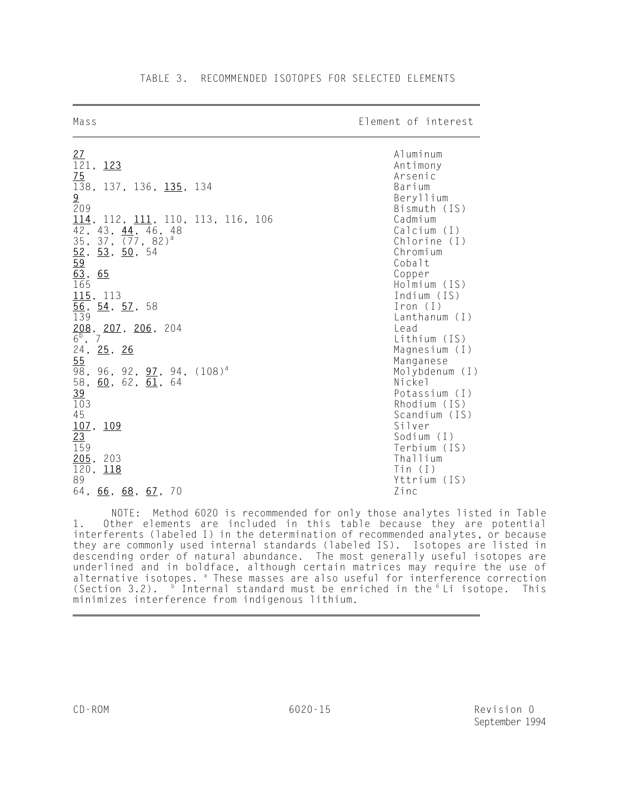| ria s s                                              | LIEMENT OF INTELEST                                 |
|------------------------------------------------------|-----------------------------------------------------|
| $\frac{27}{121}$ , 123                               | Aluminum<br>Antimony                                |
| 75                                                   | Arsenic                                             |
| 138, 137, 136, 135, 134                              | Barium                                              |
| 9                                                    | Beryllium                                           |
| 209                                                  | Bismuth (IS)                                        |
| $114$ , 112, $111$ , 110, 113, 116, 106              | Cadmium                                             |
| 42, 43, 44, 46, 48                                   | Calcium (I)                                         |
| 35, 37, $(77, 82)^{d}$                               | Chlorine (I)                                        |
| $\frac{52}{59}$<br>$\frac{53}{50}$ , 54              | Chromium                                            |
|                                                      | Cobalt                                              |
| 63,<br>65                                            | Copper                                              |
| $\overline{165}$                                     | Holmium (IS)                                        |
| 115, 113                                             | Indium (IS)                                         |
| $\frac{56}{12}$<br><u>54</u> , <u>57</u> , 58<br>139 | $\lceil$ ron $($ $\lceil$ $\rceil$<br>Lanthanum (I) |
|                                                      | Lead                                                |
| $\frac{208}{6^b}$ , 207, 206, 204                    | Lithium (IS)                                        |
| 24, 25, 26                                           | Magnesium $(I)$                                     |
| 55                                                   | Manganese                                           |
| 98,<br>96, 92, <u>97</u> , 94, (108) <sup>a</sup>    | Molybdenum (I)                                      |
| 58,<br>$60$ , $62$ , $61$ ,<br>-64                   | Nickel                                              |
| <u>39</u>                                            | Potassium (I)                                       |
| 103                                                  | Rhodium (IS)                                        |
| 45                                                   | Scandium (IS)                                       |
| $107$ ,<br><u> 109</u>                               | Silver                                              |
| 23                                                   | Sodium (I)                                          |
| 159                                                  | Terbium (IS)                                        |
| 205,<br>203                                          | Thallium                                            |
| 120,<br><u> 118</u>                                  | $T$ in (I)                                          |
| 89<br>64, 66, 68, 67, 70                             | Yttrium (IS)<br>Zinc                                |
|                                                      |                                                     |

 $\overline{a}$ 

Mass Element of interest

NOTE: Method 6020 is recommended for only those analytes listed in Table 1. Other elements are included in this table because they are potential interferents (labeled I) in the determination of recommended analytes, or because they are commonly used internal standards (labeled IS). Isotopes are listed in descending order of natural abundance. The most generally useful isotopes are underlined and in boldface, although certain matrices may require the use of alternative isotopes. <sup>a</sup> These masses are also useful for interference correction (Section 3.2).  $\frac{b}{b}$  Internal standard must be enriched in the  $\frac{c}{b}$  Li isotope. This minimizes interference from indigenous lithium. J.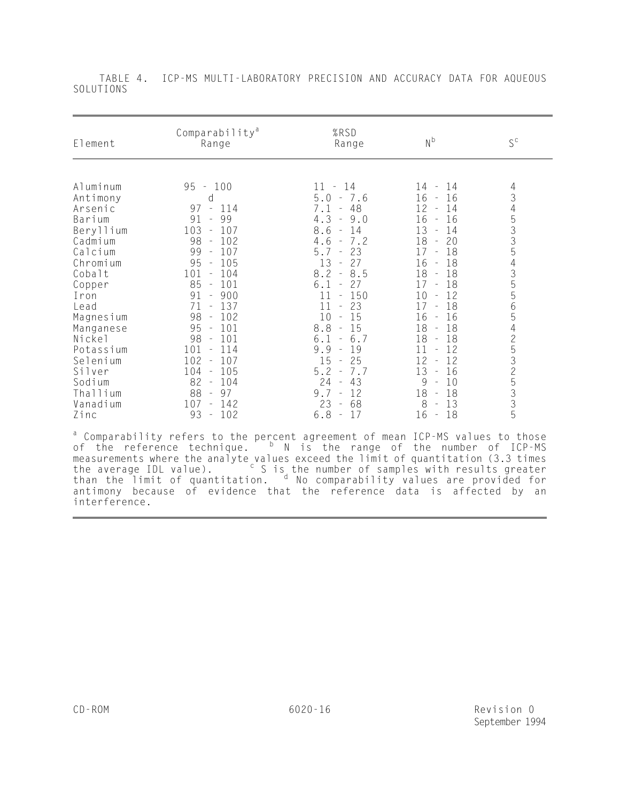| Comparability <sup>a</sup><br>Range                                                                                                                                                                                                                                                                                                                                                                                                               | %RSD<br>Range                                                                                                                                                                                                                                                                                                                                                                | $N^b$                                                                                                                                                                                                                                                                                                                                                                                                 | $S^{\,c}$              |
|---------------------------------------------------------------------------------------------------------------------------------------------------------------------------------------------------------------------------------------------------------------------------------------------------------------------------------------------------------------------------------------------------------------------------------------------------|------------------------------------------------------------------------------------------------------------------------------------------------------------------------------------------------------------------------------------------------------------------------------------------------------------------------------------------------------------------------------|-------------------------------------------------------------------------------------------------------------------------------------------------------------------------------------------------------------------------------------------------------------------------------------------------------------------------------------------------------------------------------------------------------|------------------------|
| $-100$<br>95<br>d<br>97<br>114<br>$\overline{\phantom{a}}$<br>99<br>91<br>$\equiv$<br>103<br>107<br>$\overline{\phantom{a}}$<br>98<br>102<br>$\sim$<br>99<br>107<br>$\equiv$<br>95<br>105<br>$\equiv$<br>101<br>$-104$<br>85<br>$-101$<br>91<br>900<br>$\equiv$<br>137<br>71<br>÷<br>98<br>102<br>$\sim$<br>$-101$<br>95<br>98<br>101<br>$\sim$<br>101<br>$-114$<br>$102 -$<br>107<br>105<br>104<br>$\sim$<br>82<br>$-104$<br>88<br>-97<br>$\sim$ | $-14$<br>$5.0 - 7.6$<br>48<br>7.1<br>$\equiv$<br>$4.3 - 9.0$<br>8.6<br>14<br>$\sim$<br>$4.6 - 7.2$<br>5.7<br>23<br>$\equiv$<br>27<br>13<br>$8.2 - 8.5$<br>6.1<br>-27<br>$\equiv$<br>150<br>$\equiv$<br>23<br>11<br>10<br>15<br>$\sim$<br>8.8<br>$-15$<br>6.1<br>6.7<br>9.9<br>19<br>$\sim$<br>15<br>25<br>$\sim$<br>5.2<br>7.7<br>$\sim$<br>$24 - 43$<br>9.7<br>12<br>$\sim$ | $14 -$<br>14<br>16<br>16<br>$\equiv$<br>12<br>14<br>16<br>16<br>$\equiv$<br>13<br>14<br>18<br>20<br>$\sim$<br>18<br>17<br>18<br>16<br>18<br>18<br>$\equiv$<br>17<br>18<br>12<br>10<br>18<br>17<br>16<br>16<br>$\sim$<br>18<br>18<br>$\overline{\phantom{a}}$<br>18<br>18<br>11<br>12<br>$\overline{\phantom{a}}$<br>12<br>12<br>13<br>16<br>$\overline{\phantom{a}}$<br>9<br>10<br>18<br>18<br>$\sim$ | 4345335435565425325335 |
| 93<br>$-102$                                                                                                                                                                                                                                                                                                                                                                                                                                      | $\equiv$<br>6.8<br>17<br>$\sim$                                                                                                                                                                                                                                                                                                                                              | 16<br>18<br>$\equiv$                                                                                                                                                                                                                                                                                                                                                                                  |                        |
|                                                                                                                                                                                                                                                                                                                                                                                                                                                   | $107 - 142$                                                                                                                                                                                                                                                                                                                                                                  | 23<br>-68                                                                                                                                                                                                                                                                                                                                                                                             | 8<br>13                |

 TABLE 4. ICP-MS MULTI-LABORATORY PRECISION AND ACCURACY DATA FOR AQUEOUS SOLUTIONS

<sup>a</sup> Comparability refers to the percent agreement of mean ICP-MS values to those of the reference technique.  $\overline{P}$  N is the range of the number of ICP-MS measurements where the analyte values exceed the limit of quantitation (3.3 times the average IDL value).  $\frac{1}{2}$   $\frac{c}{s}$  S is the number of samples with results greater than the limit of quantitation. d No comparability values are provided for antimony because of evidence that the reference data is affected by an interference.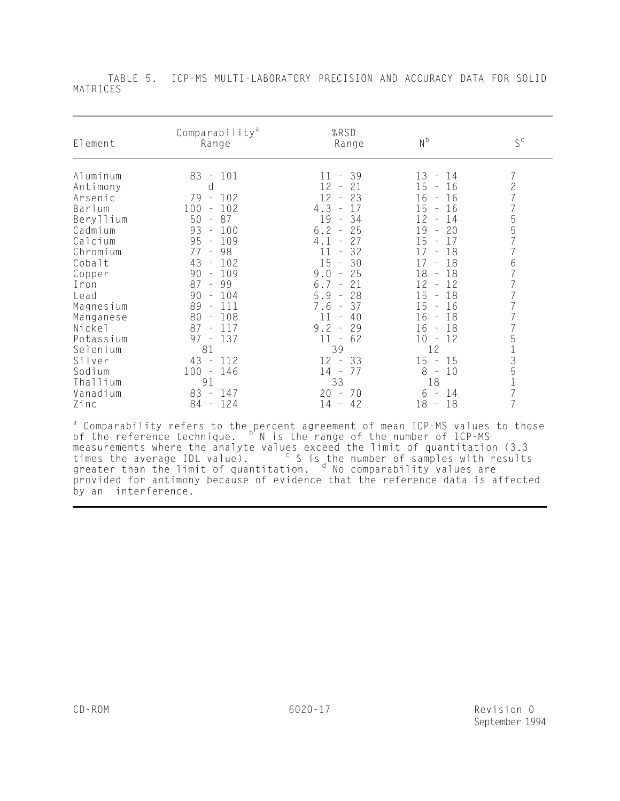| Element                                                                                                                                                                                                                                       | Comparability <sup>a</sup><br>Range                                                                                                                                                                                                                                                                                                                                          | %RSD<br>Range                                                                                                                                                                                                                                                                                                                                                                                          | N <sub>p</sub>                                                                                                                                                                                                                                                                                                                                                                                                       | $S^{\text{c}}$                                                                                                                                                                                                                                        |
|-----------------------------------------------------------------------------------------------------------------------------------------------------------------------------------------------------------------------------------------------|------------------------------------------------------------------------------------------------------------------------------------------------------------------------------------------------------------------------------------------------------------------------------------------------------------------------------------------------------------------------------|--------------------------------------------------------------------------------------------------------------------------------------------------------------------------------------------------------------------------------------------------------------------------------------------------------------------------------------------------------------------------------------------------------|----------------------------------------------------------------------------------------------------------------------------------------------------------------------------------------------------------------------------------------------------------------------------------------------------------------------------------------------------------------------------------------------------------------------|-------------------------------------------------------------------------------------------------------------------------------------------------------------------------------------------------------------------------------------------------------|
| Aluminum<br>Antimony<br>Arsenic<br>Barium<br>Beryllium<br>Cadmium<br>Calcium<br>Chromium<br>Cobalt<br>Copper<br>Iron<br>Lead<br>Magnesium<br>Manganese<br>Nickel<br>Potassium<br>Selenium<br>Silver<br>Sodium<br>Thallium<br>Vanadium<br>Zinc | 101<br>83<br>$\sim$ $-$<br>d<br>79<br>102<br>$\sim$<br>100<br>102<br>$\equiv$<br>87<br>50<br>$\sim$<br>93<br>100<br>$\sim$<br>95<br>109<br>$\sim$<br>- 98<br>77<br>43<br>$-102$<br>109<br>90<br>$\equiv$<br>87 - 99<br>90<br>$-104$<br>89<br>111<br>80<br>- 108<br>$87 -$<br>117<br>137<br>97<br>$\sim$<br>81<br>43 - 112<br>$100 -$<br>146<br>91<br>83 -<br>147<br>84 - 124 | 39<br>11<br>$\equiv$<br>21<br>12<br>$\sim$<br>12<br>23<br>$\sim$<br>17<br>4.3<br>19<br>34<br>$\sim$<br>$6.2 -$<br>25<br>27<br>4.1<br>32<br>11<br>$\sim$<br>30<br>15<br>$\sim$<br>25<br>9.0<br>6.7<br>21<br>$\sim$ $-$<br>5.9<br>28<br>$\sim$<br>7.6<br>37<br>$\sim$<br>$11 -$<br>40<br>$9.2 -$<br>29<br>62<br>$11 -$<br>39<br>$12 -$<br>33<br>$14 -$<br>77<br>33<br>70<br>20<br>$\sim$<br>$14 -$<br>42 | 13<br>14<br>$\equiv$<br>15<br>16<br>$\sim$<br>16<br>16<br>$\sim$<br>16<br>15<br>12<br>14<br>$\sim$<br>20<br>19<br>$\sim$<br>17<br>15<br>18<br>17<br>$\sim$<br>18<br>17<br>18<br>18<br>12<br>12<br>$\sim$ $-$<br>18<br>15<br>$\sim$<br>16<br>15<br>18<br>16<br>$\sim$<br>18<br>16<br>$\sim$<br>12<br>10<br>$\sim$<br>12<br>15<br>15<br>$\sim$<br>10<br>8<br>$\sim$<br>18<br>14<br>6<br>$\equiv$<br>18<br>18<br>$\sim$ | 7<br>$\mathbf{2}$<br>$\overline{7}$<br>$\overline{7}$<br>5<br>5<br>7<br>$\overline{7}$<br>$\begin{array}{c} 6 \\ 7 \end{array}$<br>$\overline{7}$<br>$\overline{7}$<br>$\overline{7}$<br>$\overline{7}$<br>$\overline{7}$<br>513517<br>$\overline{7}$ |

 TABLE 5. ICP-MS MULTI-LABORATORY PRECISION AND ACCURACY DATA FOR SOLID MATRICES

<sup>a</sup> Comparability refers to the percent agreement of mean ICP-MS values to those of the reference technique. <sup>b'</sup>N is the range of the number of ICP-MS measurements where the analyte values exceed the limit of quantitation (3.3 times the average IDL value).  $\overline{c}$  S is the number of samples with results greater than the limit of quantitation. d No comparability values are provided for antimony because of evidence that the reference data is affected by an interference. l,